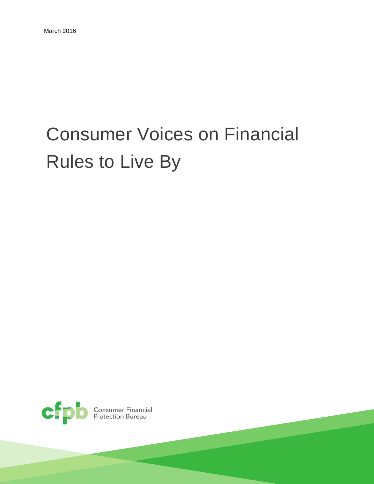# Consumer Voices on Financial Rules to Live By

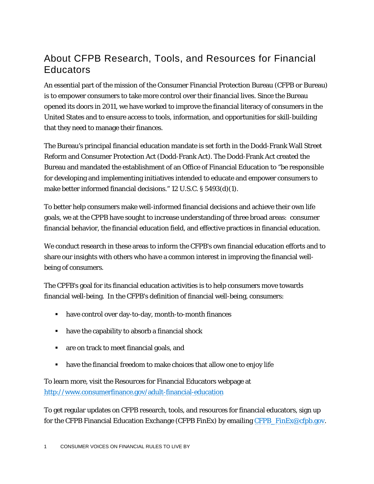#### About CFPB Research, Tools, and Resources for Financial **Educators**

An essential part of the mission of the Consumer Financial Protection Bureau (CFPB or Bureau) is to empower consumers to take more control over their financial lives. Since the Bureau opened its doors in 2011, we have worked to improve the financial literacy of consumers in the United States and to ensure access to tools, information, and opportunities for skill-building that they need to manage their finances.

The Bureau's principal financial education mandate is set forth in the Dodd-Frank Wall Street Reform and Consumer Protection Act (Dodd-Frank Act). The Dodd-Frank Act created the Bureau and mandated the establishment of an Office of Financial Education to "be responsible for developing and implementing initiatives intended to educate and empower consumers to make better informed financial decisions." 12 U.S.C. § 5493(d)(1).

To better help consumers make well-informed financial decisions and achieve their own life goals, we at the CPPB have sought to increase understanding of three broad areas: consumer financial behavior, the financial education field, and effective practices in financial education.

We conduct research in these areas to inform the CFPB's own financial education efforts and to share our insights with others who have a common interest in improving the financial wellbeing of consumers.

The CPFB's goal for its financial education activities is to help consumers move towards financial well-being. In the CFPB's definition of financial well-being, consumers:

- have control over day-to-day, month-to-month finances
- have the capability to absorb a financial shock
- are on track to meet financial goals, and
- have the financial freedom to make choices that allow one to enjoy life

To learn more, visit the Resources for Financial Educators webpage at <http://www.consumerfinance.gov/adult-financial-education>

To get regular updates on CFPB research, tools, and resources for financial educators, sign up for the CFPB Financial Education Exchange (CFPB FinEx) by emailing CFPB FinEx@cfpb.gov.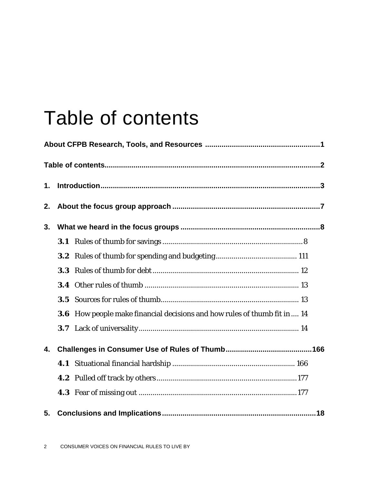# Table of contents

| 1. |                  |                                                                                 |  |
|----|------------------|---------------------------------------------------------------------------------|--|
| 2. |                  |                                                                                 |  |
| 3. |                  |                                                                                 |  |
|    | 3.1              |                                                                                 |  |
|    | 3.2 <sub>2</sub> |                                                                                 |  |
|    | 3.3              |                                                                                 |  |
|    |                  |                                                                                 |  |
|    | 3.5              |                                                                                 |  |
|    |                  | <b>3.6</b> How people make financial decisions and how rules of thumb fit in 14 |  |
|    |                  |                                                                                 |  |
| 4. |                  |                                                                                 |  |
|    |                  |                                                                                 |  |
|    |                  |                                                                                 |  |
|    |                  |                                                                                 |  |
| 5. |                  |                                                                                 |  |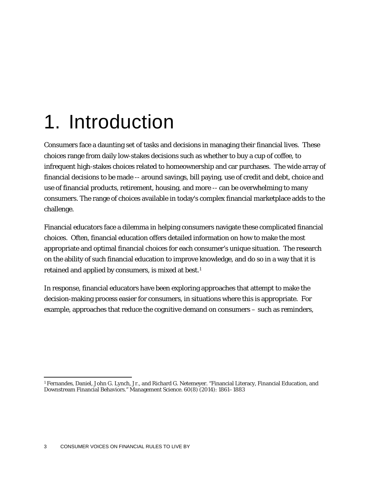# 1. Introduction

Consumers face a daunting set of tasks and decisions in managing their financial lives. These choices range from daily low-stakes decisions such as whether to buy a cup of coffee, to infrequent high-stakes choices related to homeownership and car purchases. The wide array of financial decisions to be made -- around savings, bill paying, use of credit and debt, choice and use of financial products, retirement, housing, and more -- can be overwhelming to many consumers. The range of choices available in today's complex financial marketplace adds to the challenge.

Financial educators face a dilemma in helping consumers navigate these complicated financial choices. Often, financial education offers detailed information on how to make the most appropriate and optimal financial choices for each consumer's unique situation. The research on the ability of such financial education to improve knowledge, and do so in a way that it is retained and applied by consumers, is mixed at best.[1](#page-3-0)

In response, financial educators have been exploring approaches that attempt to make the decision-making process easier for consumers, in situations where this is appropriate. For example, approaches that reduce the cognitive demand on consumers – such as reminders,

<span id="page-3-0"></span> <sup>1</sup> Fernandes, Daniel, John G. Lynch, Jr., and Richard G. Netemeyer. "Financial Literacy, Financial Education, and Downstream Financial Behaviors." Management Science. 60(8) (2014): 1861–1883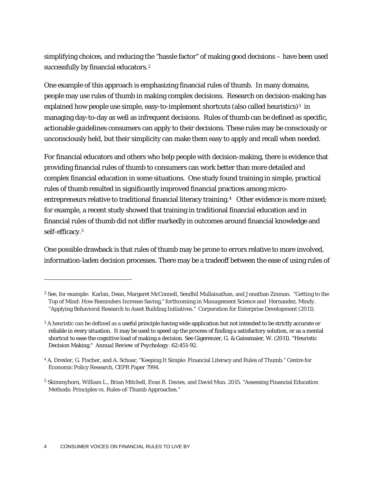simplifying choices, and reducing the "hassle factor" of making good decisions – have been used successfully by financial educators.<sup>[2](#page-4-0)</sup>

One example of this approach is emphasizing financial rules of thumb. In many domains, people may use rules of thumb in making complex decisions. Research on decision-making has explained how people use simple, easy-to-implement shortcuts (also called heuristics) $3$  in managing day-to-day as well as infrequent decisions. Rules of thumb can be defined as specific, actionable guidelines consumers can apply to their decisions. These rules may be consciously or unconsciously held, but their simplicity can make them easy to apply and recall when needed.

For financial educators and others who help people with decision-making, there is evidence that providing financial rules of thumb to consumers can work better than more detailed and complex financial education in some situations. One study found training in simple, practical rules of thumb resulted in significantly improved financial practices among microentrepreneurs relative to traditional financial literacy training.<sup>4</sup> Other evidence is more mixed; for example, a recent study showed that training in traditional financial education and in financial rules of thumb did not differ markedly in outcomes around financial knowledge and self-efficacy.[5](#page-4-3) 

One possible drawback is that rules of thumb may be prone to errors relative to more involved, information-laden decision processes. There may be a tradeoff between the ease of using rules of

 $\overline{a}$ 

<span id="page-4-0"></span><sup>2</sup> See, for example: Karlan, Dean, Margaret McConnell, Sendhil Mullainathan, and Jonathan Zinman. "Getting to the Top of Mind: How Reminders Increase Saving," forthcoming in *Management Science* and Hernandez, Mindy. "Applying Behavioral Research to Asset Building Initiatives." Corporation for Enterprise Development (2011).

<span id="page-4-1"></span><sup>&</sup>lt;sup>3</sup> A heuristic can be defined as a useful principle having wide application but not intended to be strictly accurate or reliable in every situation. It may be used to speed up the process of finding a satisfactory solution, or as a mental shortcut to ease the cognitive load of making a decision. See Gigerenzer, G. & Gaissmaier, W. (2011). "Heuristic Decision Making." *Annual Review of Psychology.* 62:451-92.

<span id="page-4-2"></span><sup>4</sup> A. Drexler, G. Fischer, and A. Schoar, "Keeping It Simple: Financial Literacy and Rules of Thumb." Centre for Economic Policy Research, CEPR Paper 7994.

<span id="page-4-3"></span><sup>5</sup> Skimmyhorn, William L., Brian Mitchell, Evan R. Davies, and David Mun. 2015. "Assessing Financial Education Methods: Principles vs. Rules-of-Thumb Approaches."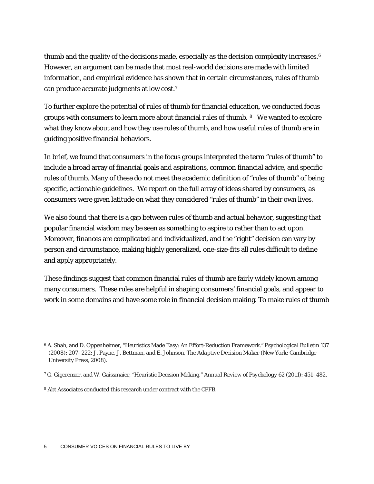thumb and the quality of the decisions made, especially as the decision complexity increases.<sup>[6](#page-5-0)</sup> However, an argument can be made that most real-world decisions are made with limited information, and empirical evidence has shown that in certain circumstances, rules of thumb can produce accurate judgments at low cost.[7](#page-5-1)

To further explore the potential of rules of thumb for financial education, we conducted focus groups with consumers to learn more about financial rules of thumb. [8](#page-5-2) We wanted to explore what they know about and how they use rules of thumb, and how useful rules of thumb are in guiding positive financial behaviors.

In brief, we found that consumers in the focus groups interpreted the term "rules of thumb" to include a broad array of financial goals and aspirations, common financial advice, and specific rules of thumb. Many of these do not meet the academic definition of "rules of thumb" of being specific, actionable guidelines. We report on the full array of ideas shared by consumers, as consumers were given latitude on what they considered "rules of thumb" in their own lives.

We also found that there is a gap between rules of thumb and actual behavior, suggesting that popular financial wisdom may be seen as something to aspire to rather than to act upon. Moreover, finances are complicated and individualized, and the "right" decision can vary by person and circumstance, making highly generalized, one-size-fits all rules difficult to define and apply appropriately.

These findings suggest that common financial rules of thumb are fairly widely known among many consumers. These rules are helpful in shaping consumers' financial goals, and appear to work in some domains and have some role in financial decision making. To make rules of thumb

 $\overline{a}$ 

<span id="page-5-0"></span><sup>6</sup> A. Shah, and D. Oppenheimer, "Heuristics Made Easy: An Effort-Reduction Framework." *Psychological Bulletin* 137 (2008): 207–222; J. Payne, J. Bettman, and E. Johnson, *The Adaptive Decision Maker* (New York: Cambridge University Press, 2008).

<span id="page-5-1"></span><sup>7</sup> G. Gigerenzer, and W. Gaissmaier, "Heuristic Decision Making." *Annual Review of Psychology* 62 (2011): 451–482.

<span id="page-5-2"></span><sup>8</sup> Abt Associates conducted this research under contract with the CPFB.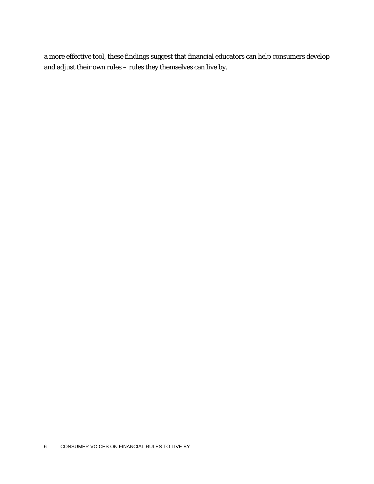a more effective tool, these findings suggest that financial educators can help consumers develop and adjust their own rules – rules they themselves can live by.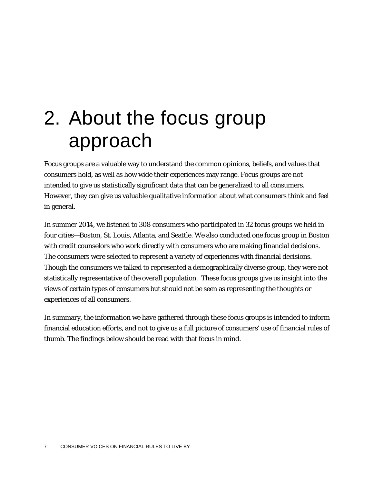# 2. About the focus group approach

Focus groups are a valuable way to understand the common opinions, beliefs, and values that consumers hold, as well as how wide their experiences may range. Focus groups are not intended to give us statistically significant data that can be generalized to all consumers. However, they can give us valuable qualitative information about what consumers think and feel in general.

In summer 2014, we listened to 308 consumers who participated in 32 focus groups we held in four cities—Boston, St. Louis, Atlanta, and Seattle. We also conducted one focus group in Boston with credit counselors who work directly with consumers who are making financial decisions. The consumers were selected to represent a variety of experiences with financial decisions. Though the consumers we talked to represented a demographically diverse group, they were not statistically representative of the overall population. These focus groups give us insight into the views of certain types of consumers but should not be seen as representing the thoughts or experiences of all consumers.

In summary, the information we have gathered through these focus groups is intended to inform financial education efforts, and not to give us a full picture of consumers' use of financial rules of thumb. The findings below should be read with that focus in mind.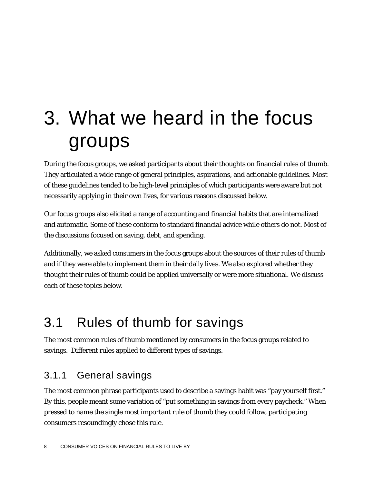# 3. What we heard in the focus groups

During the focus groups, we asked participants about their thoughts on financial rules of thumb. They articulated a wide range of general principles, aspirations, and actionable guidelines. Most of these guidelines tended to be high-level principles of which participants were aware but not necessarily applying in their own lives, for various reasons discussed below.

Our focus groups also elicited a range of accounting and financial habits that are internalized and automatic. Some of these conform to standard financial advice while others do not. Most of the discussions focused on saving, debt, and spending.

Additionally, we asked consumers in the focus groups about the sources of their rules of thumb and if they were able to implement them in their daily lives. We also explored whether they thought their rules of thumb could be applied universally or were more situational. We discuss each of these topics below.

## 3.1 Rules of thumb for savings

The most common rules of thumb mentioned by consumers in the focus groups related to savings. Different rules applied to different types of savings.

#### 3.1.1 General savings

The most common phrase participants used to describe a savings habit was "pay yourself first." By this, people meant some variation of "put something in savings from every paycheck." When pressed to name the single most important rule of thumb they could follow, participating consumers resoundingly chose this rule.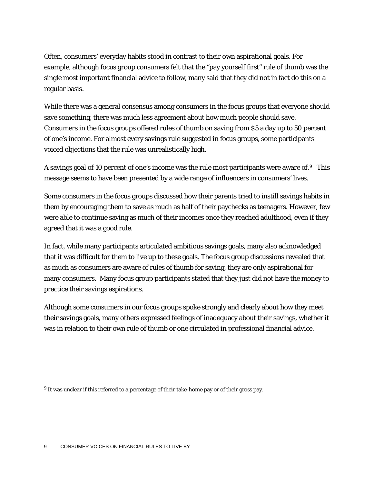Often, consumers' everyday habits stood in contrast to their own aspirational goals. For example, although focus group consumers felt that the "pay yourself first" rule of thumb was the single most important financial advice to follow, many said that they did not in fact do this on a regular basis.

While there was a general consensus among consumers in the focus groups that everyone should save something, there was much less agreement about how much people should save. Consumers in the focus groups offered rules of thumb on saving from \$5 a day up to 50 percent of one's income. For almost every savings rule suggested in focus groups, some participants voiced objections that the rule was unrealistically high.

A savings goal of 10 percent of one's income was the rule most participants were aware of.[9](#page-9-0) This message seems to have been presented by a wide range of influencers in consumers' lives.

Some consumers in the focus groups discussed how their parents tried to instill savings habits in them by encouraging them to save as much as half of their paychecks as teenagers. However, few were able to continue saving as much of their incomes once they reached adulthood, even if they agreed that it was a good rule.

In fact, while many participants articulated ambitious savings goals, many also acknowledged that it was difficult for them to live up to these goals. The focus group discussions revealed that as much as consumers are aware of rules of thumb for saving, they are only aspirational for many consumers. Many focus group participants stated that they just did not have the money to practice their savings aspirations.

Although some consumers in our focus groups spoke strongly and clearly about how they meet their savings goals, many others expressed feelings of inadequacy about their savings, whether it was in relation to their own rule of thumb or one circulated in professional financial advice.

 $\overline{a}$ 

<span id="page-9-0"></span> $9$  It was unclear if this referred to a percentage of their take-home pay or of their gross pay.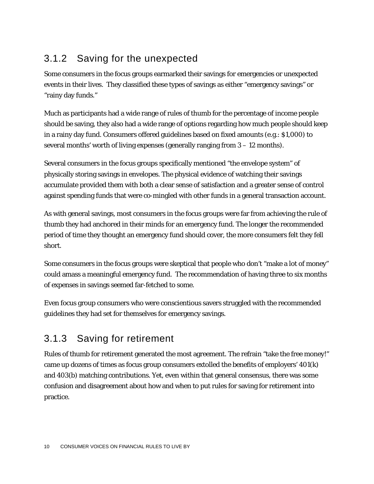#### 3.1.2 Saving for the unexpected

Some consumers in the focus groups earmarked their savings for emergencies or unexpected events in their lives. They classified these types of savings as either "emergency savings" or "rainy day funds."

Much as participants had a wide range of rules of thumb for the percentage of income people should be saving, they also had a wide range of options regarding how much people should keep in a rainy day fund. Consumers offered guidelines based on fixed amounts (e.g.: \$1,000) to several months' worth of living expenses (generally ranging from 3 – 12 months).

Several consumers in the focus groups specifically mentioned "the envelope system" of physically storing savings in envelopes. The physical evidence of watching their savings accumulate provided them with both a clear sense of satisfaction and a greater sense of control against spending funds that were co-mingled with other funds in a general transaction account.

As with general savings, most consumers in the focus groups were far from achieving the rule of thumb they had anchored in their minds for an emergency fund. The longer the recommended period of time they thought an emergency fund should cover, the more consumers felt they fell short.

Some consumers in the focus groups were skeptical that people who don't "make a lot of money" could amass a meaningful emergency fund. The recommendation of having three to six months of expenses in savings seemed far-fetched to some.

Even focus group consumers who were conscientious savers struggled with the recommended guidelines they had set for themselves for emergency savings.

#### 3.1.3 Saving for retirement

Rules of thumb for retirement generated the most agreement. The refrain "take the free money!" came up dozens of times as focus group consumers extolled the benefits of employers' 401(k) and 403(b) matching contributions. Yet, even within that general consensus, there was some confusion and disagreement about how and when to put rules for saving for retirement into practice.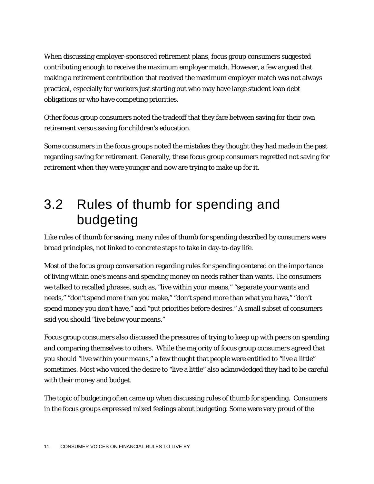When discussing employer-sponsored retirement plans, focus group consumers suggested contributing enough to receive the maximum employer match. However, a few argued that making a retirement contribution that received the maximum employer match was not always practical, especially for workers just starting out who may have large student loan debt obligations or who have competing priorities.

Other focus group consumers noted the tradeoff that they face between saving for their own retirement versus saving for children's education.

Some consumers in the focus groups noted the mistakes they thought they had made in the past regarding saving for retirement. Generally, these focus group consumers regretted not saving for retirement when they were younger and now are trying to make up for it.

## 3.2 Rules of thumb for spending and budgeting

Like rules of thumb for saving, many rules of thumb for spending described by consumers were broad principles, not linked to concrete steps to take in day-to-day life.

Most of the focus group conversation regarding rules for spending centered on the importance of living within one's means and spending money on needs rather than wants. The consumers we talked to recalled phrases, such as, "live within your means," "separate your wants and needs," "don't spend more than you make," "don't spend more than what you have," "don't spend money you don't have," and "put priorities before desires." A small subset of consumers said you should "live below your means."

Focus group consumers also discussed the pressures of trying to keep up with peers on spending and comparing themselves to others. While the majority of focus group consumers agreed that you should "live within your means," a few thought that people were entitled to "live a little" sometimes. Most who voiced the desire to "live a little" also acknowledged they had to be careful with their money and budget.

The topic of budgeting often came up when discussing rules of thumb for spending. Consumers in the focus groups expressed mixed feelings about budgeting. Some were very proud of the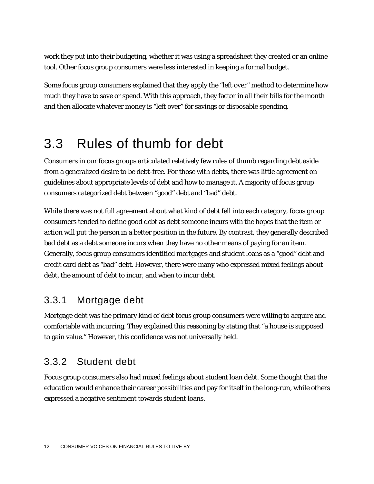work they put into their budgeting, whether it was using a spreadsheet they created or an online tool. Other focus group consumers were less interested in keeping a formal budget.

Some focus group consumers explained that they apply the "left over" method to determine how much they have to save or spend. With this approach, they factor in all their bills for the month and then allocate whatever money is "left over" for savings or disposable spending.

## 3.3 Rules of thumb for debt

Consumers in our focus groups articulated relatively few rules of thumb regarding debt aside from a generalized desire to be debt-free. For those with debts, there was little agreement on guidelines about appropriate levels of debt and how to manage it. A majority of focus group consumers categorized debt between "good" debt and "bad" debt.

While there was not full agreement about what kind of debt fell into each category, focus group consumers tended to define good debt as debt someone incurs with the hopes that the item or action will put the person in a better position in the future. By contrast, they generally described bad debt as a debt someone incurs when they have no other means of paying for an item. Generally, focus group consumers identified mortgages and student loans as a "good" debt and credit card debt as "bad" debt. However, there were many who expressed mixed feelings about debt, the amount of debt to incur, and when to incur debt.

#### 3.3.1 Mortgage debt

Mortgage debt was the primary kind of debt focus group consumers were willing to acquire and comfortable with incurring. They explained this reasoning by stating that "a house is supposed to gain value." However, this confidence was not universally held.

#### 3.3.2 Student debt

Focus group consumers also had mixed feelings about student loan debt. Some thought that the education would enhance their career possibilities and pay for itself in the long-run, while others expressed a negative sentiment towards student loans.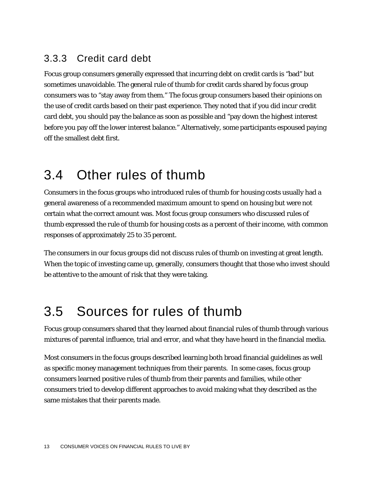#### 3.3.3 Credit card debt

Focus group consumers generally expressed that incurring debt on credit cards is "bad" but sometimes unavoidable. The general rule of thumb for credit cards shared by focus group consumers was to "stay away from them." The focus group consumers based their opinions on the use of credit cards based on their past experience. They noted that if you did incur credit card debt, you should pay the balance as soon as possible and "pay down the highest interest before you pay off the lower interest balance." Alternatively, some participants espoused paying off the smallest debt first.

### 3.4 Other rules of thumb

Consumers in the focus groups who introduced rules of thumb for housing costs usually had a general awareness of a recommended maximum amount to spend on housing but were not certain what the correct amount was. Most focus group consumers who discussed rules of thumb expressed the rule of thumb for housing costs as a percent of their income, with common responses of approximately 25 to 35 percent.

The consumers in our focus groups did not discuss rules of thumb on investing at great length. When the topic of investing came up, generally, consumers thought that those who invest should be attentive to the amount of risk that they were taking.

## 3.5 Sources for rules of thumb

Focus group consumers shared that they learned about financial rules of thumb through various mixtures of parental influence, trial and error, and what they have heard in the financial media.

Most consumers in the focus groups described learning both broad financial guidelines as well as specific money management techniques from their parents. In some cases, focus group consumers learned positive rules of thumb from their parents and families, while other consumers tried to develop different approaches to avoid making what they described as the same mistakes that their parents made.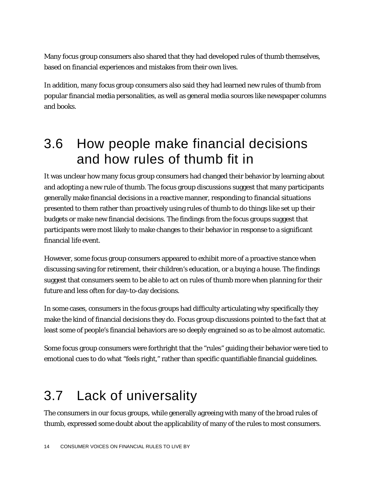Many focus group consumers also shared that they had developed rules of thumb themselves, based on financial experiences and mistakes from their own lives.

In addition, many focus group consumers also said they had learned new rules of thumb from popular financial media personalities, as well as general media sources like newspaper columns and books.

## 3.6 How people make financial decisions and how rules of thumb fit in

It was unclear how many focus group consumers had changed their behavior by learning about and adopting a new rule of thumb. The focus group discussions suggest that many participants generally make financial decisions in a reactive manner, responding to financial situations presented to them rather than proactively using rules of thumb to do things like set up their budgets or make new financial decisions. The findings from the focus groups suggest that participants were most likely to make changes to their behavior in response to a significant financial life event.

However, some focus group consumers appeared to exhibit more of a proactive stance when discussing saving for retirement, their children's education, or a buying a house. The findings suggest that consumers seem to be able to act on rules of thumb more when planning for their future and less often for day-to-day decisions.

In some cases, consumers in the focus groups had difficulty articulating why specifically they make the kind of financial decisions they do. Focus group discussions pointed to the fact that at least some of people's financial behaviors are so deeply engrained so as to be almost automatic.

Some focus group consumers were forthright that the "rules" guiding their behavior were tied to emotional cues to do what "feels right," rather than specific quantifiable financial guidelines.

## 3.7 Lack of universality

The consumers in our focus groups, while generally agreeing with many of the broad rules of thumb, expressed some doubt about the applicability of many of the rules to most consumers.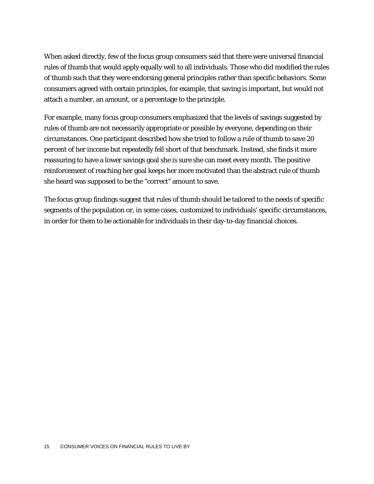When asked directly, few of the focus group consumers said that there were universal financial rules of thumb that would apply equally well to all individuals. Those who did modified the rules of thumb such that they were endorsing general principles rather than specific behaviors. Some consumers agreed with certain principles, for example, that saving is important, but would not attach a number, an amount, or a percentage to the principle.

For example, many focus group consumers emphasized that the levels of savings suggested by rules of thumb are not necessarily appropriate or possible by everyone, depending on their circumstances. One participant described how she tried to follow a rule of thumb to save 20 percent of her income but repeatedly fell short of that benchmark. Instead, she finds it more reassuring to have a lower savings goal she is sure she can meet every month. The positive reinforcement of reaching her goal keeps her more motivated than the abstract rule of thumb she heard was supposed to be the "correct" amount to save.

The focus group findings suggest that rules of thumb should be tailored to the needs of specific segments of the population or, in some cases, customized to individuals' specific circumstances, in order for them to be actionable for individuals in their day-to-day financial choices.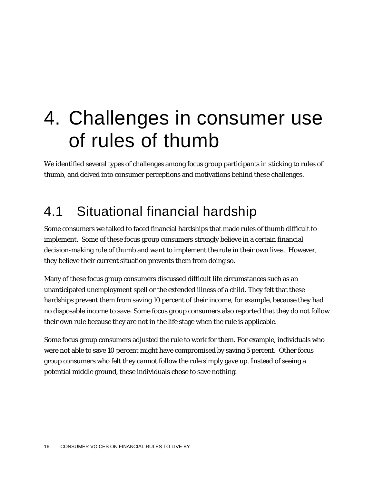# 4. Challenges in consumer use of rules of thumb

We identified several types of challenges among focus group participants in sticking to rules of thumb, and delved into consumer perceptions and motivations behind these challenges.

## 4.1 Situational financial hardship

Some consumers we talked to faced financial hardships that made rules of thumb difficult to implement. Some of these focus group consumers strongly believe in a certain financial decision-making rule of thumb and want to implement the rule in their own lives. However, they believe their current situation prevents them from doing so.

Many of these focus group consumers discussed difficult life circumstances such as an unanticipated unemployment spell or the extended illness of a child. They felt that these hardships prevent them from saving 10 percent of their income, for example, because they had no disposable income to save. Some focus group consumers also reported that they do not follow their own rule because they are not in the life stage when the rule is applicable.

Some focus group consumers adjusted the rule to work for them. For example, individuals who were not able to save 10 percent might have compromised by saving 5 percent. Other focus group consumers who felt they cannot follow the rule simply gave up. Instead of seeing a potential middle ground, these individuals chose to save nothing.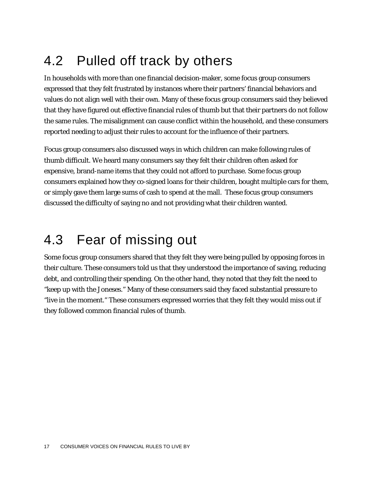## 4.2 Pulled off track by others

In households with more than one financial decision-maker, some focus group consumers expressed that they felt frustrated by instances where their partners' financial behaviors and values do not align well with their own. Many of these focus group consumers said they believed that they have figured out effective financial rules of thumb but that their partners do not follow the same rules. The misalignment can cause conflict within the household, and these consumers reported needing to adjust their rules to account for the influence of their partners.

Focus group consumers also discussed ways in which children can make following rules of thumb difficult. We heard many consumers say they felt their children often asked for expensive, brand-name items that they could not afford to purchase. Some focus group consumers explained how they co-signed loans for their children, bought multiple cars for them, or simply gave them large sums of cash to spend at the mall. These focus group consumers discussed the difficulty of saying no and not providing what their children wanted.

## 4.3 Fear of missing out

Some focus group consumers shared that they felt they were being pulled by opposing forces in their culture. These consumers told us that they understood the importance of saving, reducing debt, and controlling their spending. On the other hand, they noted that they felt the need to "keep up with the Joneses." Many of these consumers said they faced substantial pressure to "live in the moment." These consumers expressed worries that they felt they would miss out if they followed common financial rules of thumb.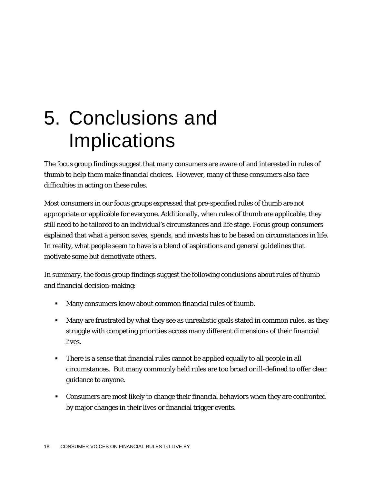# 5. Conclusions and Implications

The focus group findings suggest that many consumers are aware of and interested in rules of thumb to help them make financial choices. However, many of these consumers also face difficulties in acting on these rules.

Most consumers in our focus groups expressed that pre-specified rules of thumb are not appropriate or applicable for everyone. Additionally, when rules of thumb are applicable, they still need to be tailored to an individual's circumstances and life stage. Focus group consumers explained that what a person saves, spends, and invests has to be based on circumstances in life. In reality, what people seem to have is a blend of aspirations and general guidelines that motivate some but demotivate others.

In summary, the focus group findings suggest the following conclusions about rules of thumb and financial decision-making:

- Many consumers know about common financial rules of thumb.
- Many are frustrated by what they see as unrealistic goals stated in common rules, as they struggle with competing priorities across many different dimensions of their financial lives.
- There is a sense that financial rules cannot be applied equally to all people in all circumstances. But many commonly held rules are too broad or ill-defined to offer clear guidance to anyone.
- Consumers are most likely to change their financial behaviors when they are confronted by major changes in their lives or financial trigger events.